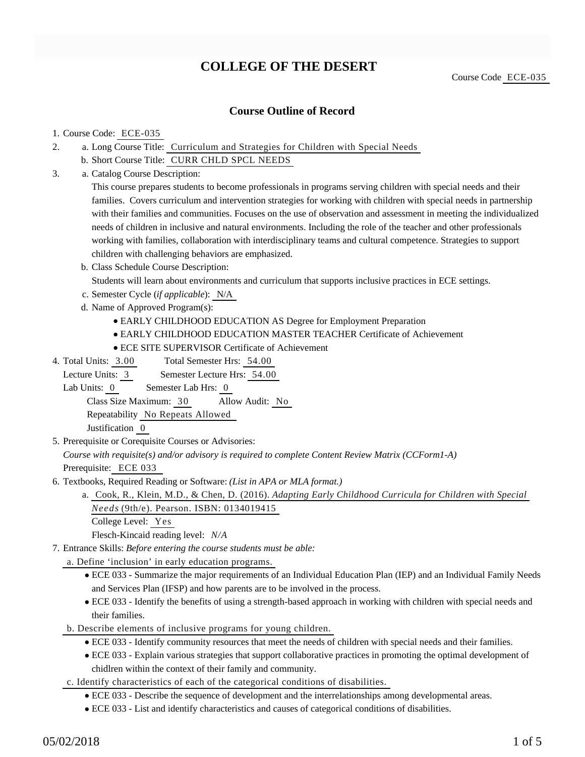# **COLLEGE OF THE DESERT**

## **Course Outline of Record**

#### 1. Course Code: ECE-035

- a. Long Course Title: Curriculum and Strategies for Children with Special Needs 2.
	- b. Short Course Title: CURR CHLD SPCL NEEDS
- Catalog Course Description: a. 3.

This course prepares students to become professionals in programs serving children with special needs and their families. Covers curriculum and intervention strategies for working with children with special needs in partnership with their families and communities. Focuses on the use of observation and assessment in meeting the individualized needs of children in inclusive and natural environments. Including the role of the teacher and other professionals working with families, collaboration with interdisciplinary teams and cultural competence. Strategies to support children with challenging behaviors are emphasized.

- b. Class Schedule Course Description:
	- Students will learn about environments and curriculum that supports inclusive practices in ECE settings.
- c. Semester Cycle (*if applicable*): N/A
- d. Name of Approved Program(s):
	- EARLY CHILDHOOD EDUCATION AS Degree for Employment Preparation
	- EARLY CHILDHOOD EDUCATION MASTER TEACHER Certificate of Achievement
	- ECE SITE SUPERVISOR Certificate of Achievement
- Total Semester Hrs: 54.00 4. Total Units: 3.00

Lecture Units: 3 Semester Lecture Hrs: 54.00

Lab Units: 0 Semester Lab Hrs: 0

Class Size Maximum: 30 Allow Audit: No

Repeatability No Repeats Allowed

Justification 0

5. Prerequisite or Corequisite Courses or Advisories:

*Course with requisite(s) and/or advisory is required to complete Content Review Matrix (CCForm1-A)* Prerequisite: ECE 033

- 6. Textbooks, Required Reading or Software: (List in APA or MLA format.)
	- Cook, R., Klein, M.D., & Chen, D. (2016). *Adapting Early Childhood Curricula for Children with Special* a. *Needs* (9th/e). Pearson. ISBN: 0134019415
		- College Level: Yes

Flesch-Kincaid reading level: *N/A*

Entrance Skills: *Before entering the course students must be able:* 7.

a. Define 'inclusion' in early education programs.

- ECE 033 Summarize the major requirements of an Individual Education Plan (IEP) and an Individual Family Needs and Services Plan (IFSP) and how parents are to be involved in the process.
- ECE 033 Identify the benefits of using a strength-based approach in working with children with special needs and their families.
- b. Describe elements of inclusive programs for young children.
	- ECE 033 Identify community resources that meet the needs of children with special needs and their families.
	- ECE 033 Explain various strategies that support collaborative practices in promoting the optimal development of chidlren within the context of their family and community.
- c. Identify characteristics of each of the categorical conditions of disabilities.
	- ECE 033 Describe the sequence of development and the interrelationships among developmental areas.
	- ECE 033 List and identify characteristics and causes of categorical conditions of disabilities.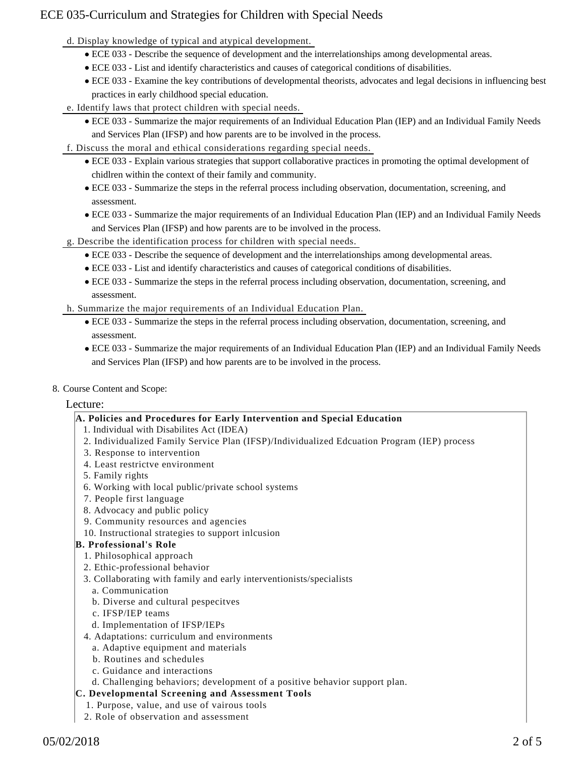# ECE 035-Curriculum and Strategies for Children with Special Needs

d. Display knowledge of typical and atypical development.

- ECE 033 Describe the sequence of development and the interrelationships among developmental areas.
- ECE 033 List and identify characteristics and causes of categorical conditions of disabilities.
- ECE 033 Examine the key contributions of developmental theorists, advocates and legal decisions in influencing best practices in early childhood special education.
- e. Identify laws that protect children with special needs.
	- ECE 033 Summarize the major requirements of an Individual Education Plan (IEP) and an Individual Family Needs and Services Plan (IFSP) and how parents are to be involved in the process.
- f. Discuss the moral and ethical considerations regarding special needs.
	- ECE 033 Explain various strategies that support collaborative practices in promoting the optimal development of chidlren within the context of their family and community.
	- ECE 033 Summarize the steps in the referral process including observation, documentation, screening, and assessment.
	- ECE 033 Summarize the major requirements of an Individual Education Plan (IEP) and an Individual Family Needs and Services Plan (IFSP) and how parents are to be involved in the process.
- g. Describe the identification process for children with special needs.
	- ECE 033 Describe the sequence of development and the interrelationships among developmental areas.
	- ECE 033 List and identify characteristics and causes of categorical conditions of disabilities.
	- ECE 033 Summarize the steps in the referral process including observation, documentation, screening, and assessment.
- h. Summarize the major requirements of an Individual Education Plan.
	- ECE 033 Summarize the steps in the referral process including observation, documentation, screening, and assessment.
	- ECE 033 Summarize the major requirements of an Individual Education Plan (IEP) and an Individual Family Needs and Services Plan (IFSP) and how parents are to be involved in the process.
- 8. Course Content and Scope:

## Lecture:

## **A. Policies and Procedures for Early Intervention and Special Education**

- 1. Individual with Disabilites Act (IDEA)
- 2. Individualized Family Service Plan (IFSP)/Individualized Edcuation Program (IEP) process
- 3. Response to intervention
- 4. Least restrictve environment
- 5. Family rights
- 6. Working with local public/private school systems
- 7. People first language
- 8. Advocacy and public policy
- 9. Community resources and agencies
- 10. Instructional strategies to support inlcusion

## **B. Professional's Role**

- 1. Philosophical approach
- 2. Ethic-professional behavior
- 3. Collaborating with family and early interventionists/specialists
	- a. Communication
	- b. Diverse and cultural pespecitves
	- c. IFSP/IEP teams
	- d. Implementation of IFSP/IEPs
- 4. Adaptations: curriculum and environments
	- a. Adaptive equipment and materials
	- b. Routines and schedules
	- c. Guidance and interactions
- d. Challenging behaviors; development of a positive behavior support plan.

## **C. Developmental Screening and Assessment Tools**

- 1. Purpose, value, and use of vairous tools 2. Role of observation and assessment
-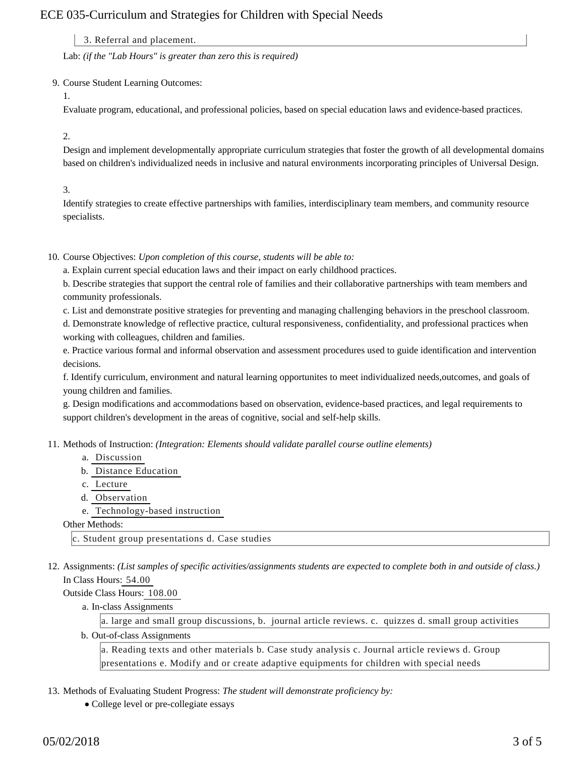# ECE 035-Curriculum and Strategies for Children with Special Needs

3. Referral and placement.

Lab: *(if the "Lab Hours" is greater than zero this is required)*

9. Course Student Learning Outcomes:

1.

Evaluate program, educational, and professional policies, based on special education laws and evidence-based practices.

### 2.

Design and implement developmentally appropriate curriculum strategies that foster the growth of all developmental domains based on children's individualized needs in inclusive and natural environments incorporating principles of Universal Design.

## 3.

Identify strategies to create effective partnerships with families, interdisciplinary team members, and community resource specialists.

10. Course Objectives: Upon completion of this course, students will be able to:

a. Explain current special education laws and their impact on early childhood practices.

b. Describe strategies that support the central role of families and their collaborative partnerships with team members and community professionals.

c. List and demonstrate positive strategies for preventing and managing challenging behaviors in the preschool classroom.

d. Demonstrate knowledge of reflective practice, cultural responsiveness, confidentiality, and professional practices when working with colleagues, children and families.

e. Practice various formal and informal observation and assessment procedures used to guide identification and intervention decisions.

f. Identify curriculum, environment and natural learning opportunites to meet individualized needs,outcomes, and goals of young children and families.

g. Design modifications and accommodations based on observation, evidence-based practices, and legal requirements to support children's development in the areas of cognitive, social and self-help skills.

11. Methods of Instruction: *(Integration: Elements should validate parallel course outline elements)* 

- a. Discussion
- b. Distance Education
- c. Lecture
- d. Observation
- e. Technology-based instruction

#### Other Methods:

c. Student group presentations d. Case studies

12. Assignments: (List samples of specific activities/assignments students are expected to complete both in and outside of class.) In Class Hours: 54.00

Outside Class Hours: 108.00

a. In-class Assignments

a. large and small group discussions, b. journal article reviews. c. quizzes d. small group activities

b. Out-of-class Assignments

a. Reading texts and other materials b. Case study analysis c. Journal article reviews d. Group presentations e. Modify and or create adaptive equipments for children with special needs

- 13. Methods of Evaluating Student Progress: The student will demonstrate proficiency by:
	- College level or pre-collegiate essays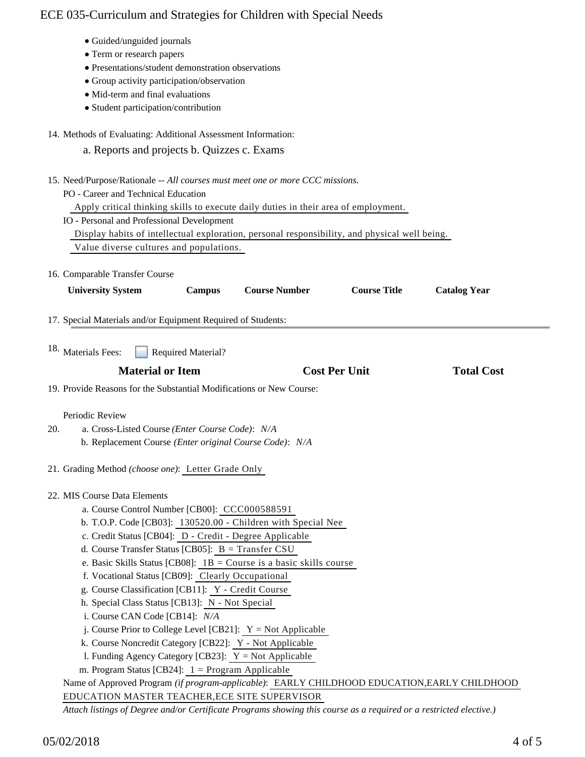# ECE 035-Curriculum and Strategies for Children with Special Needs

- Guided/unguided journals
- Term or research papers
- Presentations/student demonstration observations
- Group activity participation/observation
- $\bullet$  Mid-term and final evaluations
- Student participation/contribution
- 14. Methods of Evaluating: Additional Assessment Information:
	- a. Reports and projects b. Quizzes c. Exams
- 15. Need/Purpose/Rationale -- All courses must meet one or more CCC missions.
	- PO Career and Technical Education
		- Apply critical thinking skills to execute daily duties in their area of employment.
	- IO Personal and Professional Development
		- Display habits of intellectual exploration, personal responsibility, and physical well being.
	- Value diverse cultures and populations.
- 16. Comparable Transfer Course

| <b>University System</b>                                                                                           | <b>Campus</b>             | <b>Course Number</b>                                                  | <b>Course Title</b>  | <b>Catalog Year</b> |
|--------------------------------------------------------------------------------------------------------------------|---------------------------|-----------------------------------------------------------------------|----------------------|---------------------|
| 17. Special Materials and/or Equipment Required of Students:                                                       |                           |                                                                       |                      |                     |
| 18. Materials Fees:                                                                                                | <b>Required Material?</b> |                                                                       |                      |                     |
| <b>Material or Item</b>                                                                                            |                           |                                                                       | <b>Cost Per Unit</b> | <b>Total Cost</b>   |
| 19. Provide Reasons for the Substantial Modifications or New Course:                                               |                           |                                                                       |                      |                     |
|                                                                                                                    |                           |                                                                       |                      |                     |
| Periodic Review                                                                                                    |                           |                                                                       |                      |                     |
| a. Cross-Listed Course (Enter Course Code): N/A<br>20.                                                             |                           |                                                                       |                      |                     |
| b. Replacement Course (Enter original Course Code): N/A                                                            |                           |                                                                       |                      |                     |
|                                                                                                                    |                           |                                                                       |                      |                     |
| 21. Grading Method (choose one): Letter Grade Only                                                                 |                           |                                                                       |                      |                     |
|                                                                                                                    |                           |                                                                       |                      |                     |
| 22. MIS Course Data Elements<br>a. Course Control Number [CB00]: CCC000588591                                      |                           |                                                                       |                      |                     |
|                                                                                                                    |                           | b. T.O.P. Code [CB03]: 130520.00 - Children with Special Nee          |                      |                     |
| c. Credit Status [CB04]: D - Credit - Degree Applicable                                                            |                           |                                                                       |                      |                     |
| d. Course Transfer Status [CB05]: $B = Transfer CSU$                                                               |                           |                                                                       |                      |                     |
|                                                                                                                    |                           | e. Basic Skills Status [CB08]: $1B =$ Course is a basic skills course |                      |                     |
| f. Vocational Status [CB09]: Clearly Occupational                                                                  |                           |                                                                       |                      |                     |
| g. Course Classification [CB11]: Y - Credit Course                                                                 |                           |                                                                       |                      |                     |
| h. Special Class Status [CB13]: N - Not Special                                                                    |                           |                                                                       |                      |                     |
| i. Course CAN Code [CB14]: N/A                                                                                     |                           |                                                                       |                      |                     |
|                                                                                                                    |                           | j. Course Prior to College Level [CB21]: $Y = Not$ Applicable         |                      |                     |
| k. Course Noncredit Category [CB22]: Y - Not Applicable                                                            |                           |                                                                       |                      |                     |
| 1. Funding Agency Category [CB23]: $Y = Not$ Applicable                                                            |                           |                                                                       |                      |                     |
| m. Program Status [CB24]: $1 =$ Program Applicable                                                                 |                           |                                                                       |                      |                     |
| Name of Approved Program (if program-applicable): EARLY CHILDHOOD EDUCATION, EARLY CHILDHOOD                       |                           |                                                                       |                      |                     |
| EDUCATION MASTER TEACHER, ECE SITE SUPERVISOR                                                                      |                           |                                                                       |                      |                     |
| Attach listings of Degree and/or Certificate Programs showing this course as a required or a restricted elective.) |                           |                                                                       |                      |                     |